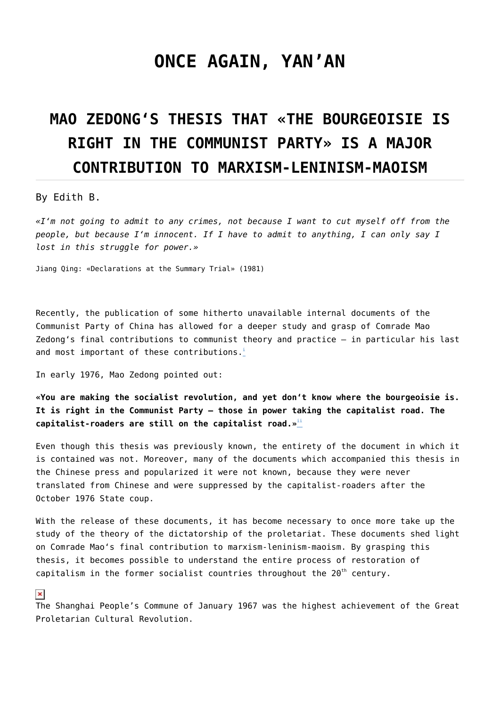# **ONCE AGAIN, YAN'AN**

# **MAO ZEDONG'S THESIS THAT «THE BOURGEOISIE IS RIGHT IN THE COMMUNIST PARTY» IS A MAJOR CONTRIBUTION TO MARXISM-LENINISM-MAOISM**

By Edith B.

*«I'm not going to admit to any crimes, not because I want to cut myself off from the people, but because I'm innocent. If I have to admit to anything, I can only say I lost in this struggle for power.»*

Jiang Qing: «Declarations at the Summary Trial» (1981)

Recently, the publication of some hitherto unavailable internal documents of the Communist Party of China has allowed for a deeper study and grasp of Comrade Mao Zedong's final contributions to communist theory and practice — in particular his last and most [i](#page-21-0)mportant of these contributions. $\frac{1}{2}$ 

<span id="page-0-0"></span>In early 1976, Mao Zedong pointed out:

<span id="page-0-1"></span>**«You are making the socialist revolution, and yet don't know where the bourgeoisie is. It is right in the Communist Party — those in power taking the capitalist road. The capitalist-roaders are still on the capitalist road.»**[ii](#page-21-1)

Even though this thesis was previously known, the entirety of the document in which it is contained was not. Moreover, many of the documents which accompanied this thesis in the Chinese press and popularized it were not known, because they were never translated from Chinese and were suppressed by the capitalist-roaders after the October 1976 State coup.

With the release of these documents, it has become necessary to once more take up the study of the theory of the dictatorship of the proletariat. These documents shed light on Comrade Mao's final contribution to marxism-leninism-maoism. By grasping this thesis, it becomes possible to understand the entire process of restoration of capitalism in the former socialist countries throughout the  $20^{th}$  century.

#### $\pmb{\times}$

The Shanghai People's Commune of January 1967 was the highest achievement of the Great Proletarian Cultural Revolution.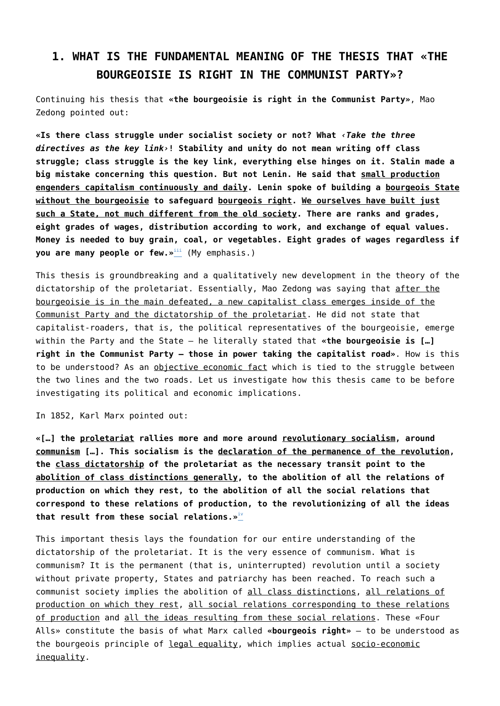# **1. WHAT IS THE FUNDAMENTAL MEANING OF THE THESIS THAT «THE BOURGEOISIE IS RIGHT IN THE COMMUNIST PARTY»?**

Continuing his thesis that **«the bourgeoisie is right in the Communist Party»**, Mao Zedong pointed out:

**«Is there class struggle under socialist society or not? What** *‹Take the three directives as the key link›***! Stability and unity do not mean writing off class struggle; class struggle is the key link, everything else hinges on it. Stalin made a big mistake concerning this question. But not Lenin. He said that small production engenders capitalism continuously and daily. Lenin spoke of building a bourgeois State without the bourgeoisie to safeguard bourgeois right. We ourselves have built just such a State, not much different from the old society. There are ranks and grades, eight grades of wages, distribution according to work, and exchange of equal values. Money is needed to buy grain, coal, or vegetables. Eight grades of wages regardless if you are many people or few.**»<sup>[iii](#page-21-2)</sup> (My emphasis.)

<span id="page-1-0"></span>This thesis is groundbreaking and a qualitatively new development in the theory of the dictatorship of the proletariat. Essentially, Mao Zedong was saying that after the bourgeoisie is in the main defeated, a new capitalist class emerges inside of the Communist Party and the dictatorship of the proletariat. He did not state that capitalist-roaders, that is, the political representatives of the bourgeoisie, emerge within the Party and the State — he literally stated that **«the bourgeoisie is […] right in the Communist Party — those in power taking the capitalist road»**. How is this to be understood? As an objective economic fact which is tied to the struggle between the two lines and the two roads. Let us investigate how this thesis came to be before investigating its political and economic implications.

In 1852, Karl Marx pointed out:

**«[…] the proletariat rallies more and more around revolutionary socialism, around communism […]. This socialism is the declaration of the permanence of the revolution, the class dictatorship of the proletariat as the necessary transit point to the abolition of class distinctions generally, to the abolition of all the relations of production on which they rest, to the abolition of all the social relations that correspond to these relations of production, to the revolutionizing of all the ideas that result from these social relations.»**[iv](#page-21-3)

<span id="page-1-1"></span>This important thesis lays the foundation for our entire understanding of the dictatorship of the proletariat. It is the very essence of communism. What is communism? It is the permanent (that is, uninterrupted) revolution until a society without private property, States and patriarchy has been reached. To reach such a communist society implies the abolition of all class distinctions, all relations of production on which they rest, all social relations corresponding to these relations of production and all the ideas resulting from these social relations. These «Four Alls» constitute the basis of what Marx called **«bourgeois right»** — to be understood as the bourgeois principle of legal equality, which implies actual socio-economic inequality.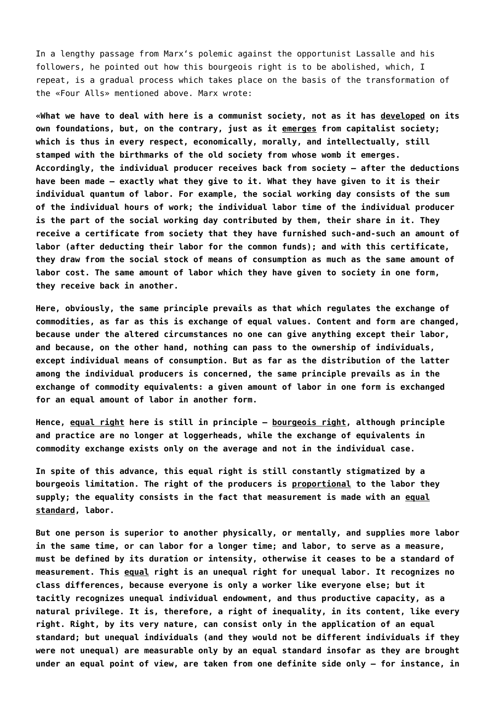In a lengthy passage from Marx's polemic against the opportunist Lassalle and his followers, he pointed out how this bourgeois right is to be abolished, which, I repeat, is a gradual process which takes place on the basis of the transformation of the «Four Alls» mentioned above. Marx wrote:

**«What we have to deal with here is a communist society, not as it has developed on its own foundations, but, on the contrary, just as it emerges from capitalist society; which is thus in every respect, economically, morally, and intellectually, still stamped with the birthmarks of the old society from whose womb it emerges. Accordingly, the individual producer receives back from society — after the deductions have been made — exactly what they give to it. What they have given to it is their individual quantum of labor. For example, the social working day consists of the sum of the individual hours of work; the individual labor time of the individual producer is the part of the social working day contributed by them, their share in it. They receive a certificate from society that they have furnished such-and-such an amount of labor (after deducting their labor for the common funds); and with this certificate, they draw from the social stock of means of consumption as much as the same amount of labor cost. The same amount of labor which they have given to society in one form, they receive back in another.**

**Here, obviously, the same principle prevails as that which regulates the exchange of commodities, as far as this is exchange of equal values. Content and form are changed, because under the altered circumstances no one can give anything except their labor, and because, on the other hand, nothing can pass to the ownership of individuals, except individual means of consumption. But as far as the distribution of the latter among the individual producers is concerned, the same principle prevails as in the exchange of commodity equivalents: a given amount of labor in one form is exchanged for an equal amount of labor in another form.**

**Hence, equal right here is still in principle — bourgeois right, although principle and practice are no longer at loggerheads, while the exchange of equivalents in commodity exchange exists only on the average and not in the individual case.**

**In spite of this advance, this equal right is still constantly stigmatized by a bourgeois limitation. The right of the producers is proportional to the labor they supply; the equality consists in the fact that measurement is made with an equal standard, labor.**

**But one person is superior to another physically, or mentally, and supplies more labor in the same time, or can labor for a longer time; and labor, to serve as a measure, must be defined by its duration or intensity, otherwise it ceases to be a standard of measurement. This equal right is an unequal right for unequal labor. It recognizes no class differences, because everyone is only a worker like everyone else; but it tacitly recognizes unequal individual endowment, and thus productive capacity, as a natural privilege. It is, therefore, a right of inequality, in its content, like every right. Right, by its very nature, can consist only in the application of an equal standard; but unequal individuals (and they would not be different individuals if they were not unequal) are measurable only by an equal standard insofar as they are brought under an equal point of view, are taken from one definite side only — for instance, in**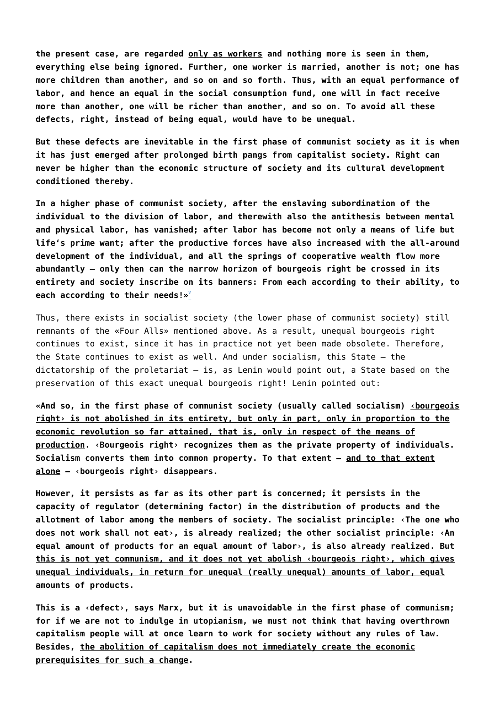**the present case, are regarded only as workers and nothing more is seen in them, everything else being ignored. Further, one worker is married, another is not; one has more children than another, and so on and so forth. Thus, with an equal performance of labor, and hence an equal in the social consumption fund, one will in fact receive more than another, one will be richer than another, and so on. To avoid all these defects, right, instead of being equal, would have to be unequal.**

**But these defects are inevitable in the first phase of communist society as it is when it has just emerged after prolonged birth pangs from capitalist society. Right can never be higher than the economic structure of society and its cultural development conditioned thereby.**

**In a higher phase of communist society, after the enslaving subordination of the individual to the division of labor, and therewith also the antithesis between mental and physical labor, has vanished; after labor has become not only a means of life but life's prime want; after the productive forces have also increased with the all-around development of the individual, and all the springs of cooperative wealth flow more abundantly — only then can the narrow horizon of bourgeois right be crossed in its entirety and society inscribe on its banners: From each according to their ability, to each according to their needs!»** 

<span id="page-3-0"></span>Thus, there exists in socialist society (the lower phase of communist society) still remnants of the «Four Alls» mentioned above. As a result, unequal bourgeois right continues to exist, since it has in practice not yet been made obsolete. Therefore, the State continues to exist as well. And under socialism, this State — the dictatorship of the proletariat — is, as Lenin would point out, a State based on the preservation of this exact unequal bourgeois right! Lenin pointed out:

**«And so, in the first phase of communist society (usually called socialism) ‹bourgeois right› is not abolished in its entirety, but only in part, only in proportion to the economic revolution so far attained, that is, only in respect of the means of production. ‹Bourgeois right› recognizes them as the private property of individuals. Socialism converts them into common property. To that extent — and to that extent alone — ‹bourgeois right› disappears.**

**However, it persists as far as its other part is concerned; it persists in the capacity of regulator (determining factor) in the distribution of products and the allotment of labor among the members of society. The socialist principle: ‹The one who does not work shall not eat›, is already realized; the other socialist principle: ‹An equal amount of products for an equal amount of labor›, is also already realized. But this is not yet communism, and it does not yet abolish ‹bourgeois right›, which gives unequal individuals, in return for unequal (really unequal) amounts of labor, equal amounts of products.**

**This is a ‹defect›, says Marx, but it is unavoidable in the first phase of communism; for if we are not to indulge in utopianism, we must not think that having overthrown capitalism people will at once learn to work for society without any rules of law. Besides, the abolition of capitalism does not immediately create the economic prerequisites for such a change.**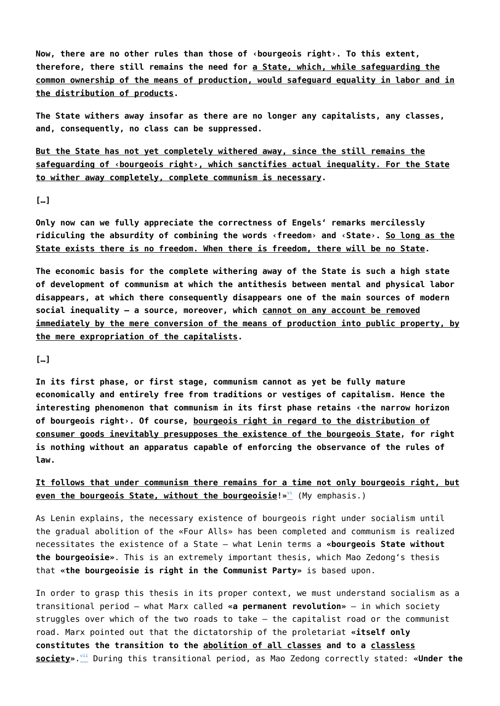**Now, there are no other rules than those of ‹bourgeois right›. To this extent, therefore, there still remains the need for a State, which, while safeguarding the common ownership of the means of production, would safeguard equality in labor and in the distribution of products.**

**The State withers away insofar as there are no longer any capitalists, any classes, and, consequently, no class can be suppressed.**

**But the State has not yet completely withered away, since the still remains the safeguarding of ‹bourgeois right›, which sanctifies actual inequality. For the State to wither away completely, complete communism is necessary.**

### **[…]**

**Only now can we fully appreciate the correctness of Engels' remarks mercilessly ridiculing the absurdity of combining the words ‹freedom› and ‹State›. So long as the State exists there is no freedom. When there is freedom, there will be no State.**

**The economic basis for the complete withering away of the State is such a high state of development of communism at which the antithesis between mental and physical labor disappears, at which there consequently disappears one of the main sources of modern social inequality — a source, moreover, which cannot on any account be removed immediately by the mere conversion of the means of production into public property, by the mere expropriation of the capitalists.**

#### **[…]**

**In its first phase, or first stage, communism cannot as yet be fully mature economically and entirely free from traditions or vestiges of capitalism. Hence the interesting phenomenon that communism in its first phase retains ‹the narrow horizon of bourgeois right›. Of course, bourgeois right in regard to the distribution of consumer goods inevitably presupposes the existence of the bourgeois State, for right is nothing without an apparatus capable of enforcing the observance of the rules of law.**

<span id="page-4-0"></span>**It follows that under communism there remains for a time not only bourgeois right, but even the bourgeois State, without the bourgeoisie!»<sup>[vi](#page-21-5)</sup> (My emphasis.)** 

As Lenin explains, the necessary existence of bourgeois right under socialism until the gradual abolition of the «Four Alls» has been completed and communism is realized necessitates the existence of a State — what Lenin terms a **«bourgeois State without the bourgeoisie»**. This is an extremely important thesis, which Mao Zedong's thesis that **«the bourgeoisie is right in the Communist Party»** is based upon.

<span id="page-4-1"></span>In order to grasp this thesis in its proper context, we must understand socialism as a transitional period — what Marx called **«a permanent revolution»** — in which society struggles over which of the two roads to take — the capitalist road or the communist road. Marx pointed out that the dictatorship of the proletariat **«itself only constitutes the transition to the abolition of all classes and to a classless society»**. [vii](#page-21-6) During this transitional period, as Mao Zedong correctly stated: **«Under the**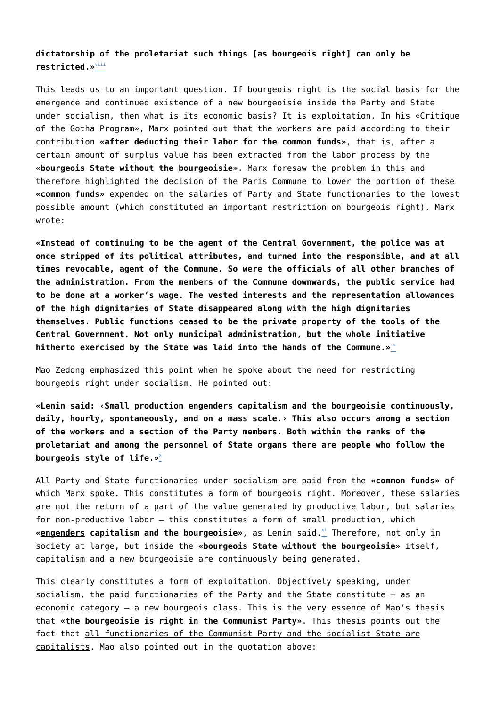### <span id="page-5-0"></span>**dictatorship of the proletariat such things [as bourgeois right] can only be restricted.»**[viii](#page-21-7)

This leads us to an important question. If bourgeois right is the social basis for the emergence and continued existence of a new bourgeoisie inside the Party and State under socialism, then what is its economic basis? It is exploitation. In his «Critique of the Gotha Program», Marx pointed out that the workers are paid according to their contribution **«after deducting their labor for the common funds»**, that is, after a certain amount of surplus value has been extracted from the labor process by the **«bourgeois State without the bourgeoisie»**. Marx foresaw the problem in this and therefore highlighted the decision of the Paris Commune to lower the portion of these **«common funds»** expended on the salaries of Party and State functionaries to the lowest possible amount (which constituted an important restriction on bourgeois right). Marx wrote:

**«Instead of continuing to be the agent of the Central Government, the police was at once stripped of its political attributes, and turned into the responsible, and at all times revocable, agent of the Commune. So were the officials of all other branches of the administration. From the members of the Commune downwards, the public service had to be done at a worker's wage. The vested interests and the representation allowances of the high dignitaries of State disappeared along with the high dignitaries themselves. Public functions ceased to be the private property of the tools of the Central Government. Not only municipal administration, but the whole initiative hitherto exercised by the State was laid into the hands of the Commune.»**[ix](#page-21-8)

<span id="page-5-1"></span>Mao Zedong emphasized this point when he spoke about the need for restricting bourgeois right under socialism. He pointed out:

**«Lenin said: ‹Small production engenders capitalism and the bourgeoisie continuously, daily, hourly, spontaneously, and on a mass scale.› This also occurs among a section of the workers and a section of the Party members. Both within the ranks of the proletariat and among the personnel of State organs there are people who follow the bourgeois style of life.**»<sup>[x](#page-21-9)</sup>

<span id="page-5-3"></span><span id="page-5-2"></span>All Party and State functionaries under socialism are paid from the **«common funds»** of which Marx spoke. This constitutes a form of bourgeois right. Moreover, these salaries are not the return of a part of the value generated by productive labor, but salaries for non-productive labor — this constitutes a form of small production, which **«engenders capitalism and the bourgeoisie»**, as Lenin said.<sup>[xi](#page-21-10)</sup> Therefore, not only in society at large, but inside the **«bourgeois State without the bourgeoisie»** itself, capitalism and a new bourgeoisie are continuously being generated.

This clearly constitutes a form of exploitation. Objectively speaking, under socialism, the paid functionaries of the Party and the State constitute — as an economic category — a new bourgeois class. This is the very essence of Mao's thesis that **«the bourgeoisie is right in the Communist Party»**. This thesis points out the fact that all functionaries of the Communist Party and the socialist State are capitalists. Mao also pointed out in the quotation above: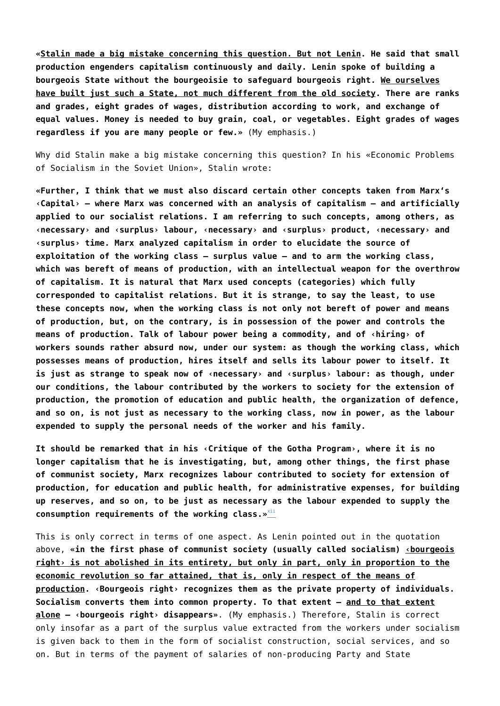**«Stalin made a big mistake concerning this question. But not Lenin. He said that small production engenders capitalism continuously and daily. Lenin spoke of building a bourgeois State without the bourgeoisie to safeguard bourgeois right. We ourselves have built just such a State, not much different from the old society. There are ranks and grades, eight grades of wages, distribution according to work, and exchange of equal values. Money is needed to buy grain, coal, or vegetables. Eight grades of wages regardless if you are many people or few.»** (My emphasis.)

Why did Stalin make a big mistake concerning this question? In his «Economic Problems of Socialism in the Soviet Union», Stalin wrote:

**«Further, I think that we must also discard certain other concepts taken from Marx's ‹Capital› — where Marx was concerned with an analysis of capitalism — and artificially applied to our socialist relations. I am referring to such concepts, among others, as ‹necessary› and ‹surplus› labour, ‹necessary› and ‹surplus› product, ‹necessary› and ‹surplus› time. Marx analyzed capitalism in order to elucidate the source of exploitation of the working class — surplus value — and to arm the working class, which was bereft of means of production, with an intellectual weapon for the overthrow of capitalism. It is natural that Marx used concepts (categories) which fully corresponded to capitalist relations. But it is strange, to say the least, to use these concepts now, when the working class is not only not bereft of power and means of production, but, on the contrary, is in possession of the power and controls the means of production. Talk of labour power being a commodity, and of ‹hiring› of workers sounds rather absurd now, under our system: as though the working class, which possesses means of production, hires itself and sells its labour power to itself. It is just as strange to speak now of ‹necessary› and ‹surplus› labour: as though, under our conditions, the labour contributed by the workers to society for the extension of production, the promotion of education and public health, the organization of defence, and so on, is not just as necessary to the working class, now in power, as the labour expended to supply the personal needs of the worker and his family.**

**It should be remarked that in his ‹Critique of the Gotha Program›, where it is no longer capitalism that he is investigating, but, among other things, the first phase of communist society, Marx recognizes labour contributed to society for extension of production, for education and public health, for administrative expenses, for building up reserves, and so on, to be just as necessary as the labour expended to supply the** consumption requirements of the working class.»<sup>[xii](#page-21-11)</sup>

<span id="page-6-0"></span>This is only correct in terms of one aspect. As Lenin pointed out in the quotation above, **«in the first phase of communist society (usually called socialism) ‹bourgeois right› is not abolished in its entirety, but only in part, only in proportion to the economic revolution so far attained, that is, only in respect of the means of production. ‹Bourgeois right› recognizes them as the private property of individuals. Socialism converts them into common property. To that extent — and to that extent alone — ‹bourgeois right› disappears»**. (My emphasis.) Therefore, Stalin is correct only insofar as a part of the surplus value extracted from the workers under socialism is given back to them in the form of socialist construction, social services, and so on. But in terms of the payment of salaries of non-producing Party and State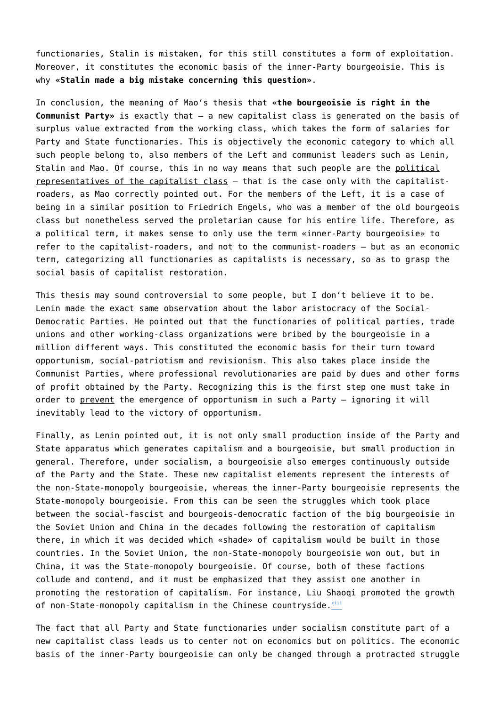functionaries, Stalin is mistaken, for this still constitutes a form of exploitation. Moreover, it constitutes the economic basis of the inner-Party bourgeoisie. This is why **«Stalin made a big mistake concerning this question»**.

In conclusion, the meaning of Mao's thesis that **«the bourgeoisie is right in the Communist Party»** is exactly that — a new capitalist class is generated on the basis of surplus value extracted from the working class, which takes the form of salaries for Party and State functionaries. This is objectively the economic category to which all such people belong to, also members of the Left and communist leaders such as Lenin, Stalin and Mao. Of course, this in no way means that such people are the political representatives of the capitalist class — that is the case only with the capitalistroaders, as Mao correctly pointed out. For the members of the Left, it is a case of being in a similar position to Friedrich Engels, who was a member of the old bourgeois class but nonetheless served the proletarian cause for his entire life. Therefore, as a political term, it makes sense to only use the term «inner-Party bourgeoisie» to refer to the capitalist-roaders, and not to the communist-roaders — but as an economic term, categorizing all functionaries as capitalists is necessary, so as to grasp the social basis of capitalist restoration.

This thesis may sound controversial to some people, but I don't believe it to be. Lenin made the exact same observation about the labor aristocracy of the Social-Democratic Parties. He pointed out that the functionaries of political parties, trade unions and other working-class organizations were bribed by the bourgeoisie in a million different ways. This constituted the economic basis for their turn toward opportunism, social-patriotism and revisionism. This also takes place inside the Communist Parties, where professional revolutionaries are paid by dues and other forms of profit obtained by the Party. Recognizing this is the first step one must take in order to prevent the emergence of opportunism in such a Party — ignoring it will inevitably lead to the victory of opportunism.

Finally, as Lenin pointed out, it is not only small production inside of the Party and State apparatus which generates capitalism and a bourgeoisie, but small production in general. Therefore, under socialism, a bourgeoisie also emerges continuously outside of the Party and the State. These new capitalist elements represent the interests of the non-State-monopoly bourgeoisie, whereas the inner-Party bourgeoisie represents the State-monopoly bourgeoisie. From this can be seen the struggles which took place between the social-fascist and bourgeois-democratic faction of the big bourgeoisie in the Soviet Union and China in the decades following the restoration of capitalism there, in which it was decided which «shade» of capitalism would be built in those countries. In the Soviet Union, the non-State-monopoly bourgeoisie won out, but in China, it was the State-monopoly bourgeoisie. Of course, both of these factions collude and contend, and it must be emphasized that they assist one another in promoting the restoration of capitalism. For instance, Liu Shaoqi promoted the growth of non-State-monopoly capitalism in the Chinese countryside. $\frac{x}{1+x}$ 

<span id="page-7-0"></span>The fact that all Party and State functionaries under socialism constitute part of a new capitalist class leads us to center not on economics but on politics. The economic basis of the inner-Party bourgeoisie can only be changed through a protracted struggle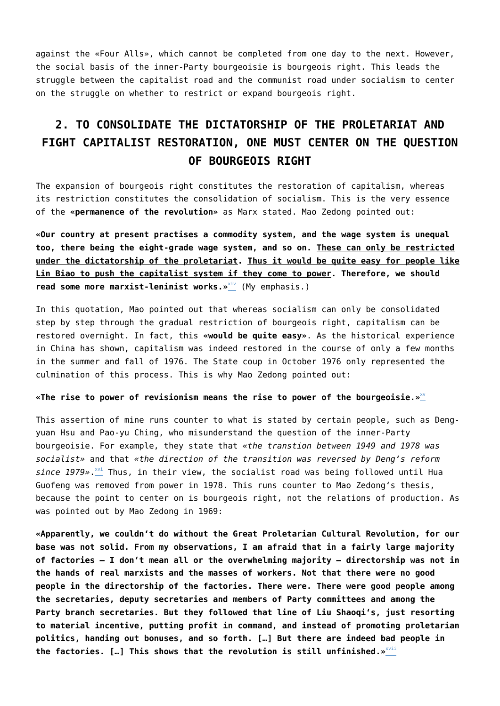against the «Four Alls», which cannot be completed from one day to the next. However, the social basis of the inner-Party bourgeoisie is bourgeois right. This leads the struggle between the capitalist road and the communist road under socialism to center on the struggle on whether to restrict or expand bourgeois right.

# **2. TO CONSOLIDATE THE DICTATORSHIP OF THE PROLETARIAT AND FIGHT CAPITALIST RESTORATION, ONE MUST CENTER ON THE QUESTION OF BOURGEOIS RIGHT**

The expansion of bourgeois right constitutes the restoration of capitalism, whereas its restriction constitutes the consolidation of socialism. This is the very essence of the **«permanence of the revolution»** as Marx stated. Mao Zedong pointed out:

**«Our country at present practises a commodity system, and the wage system is unequal too, there being the eight-grade wage system, and so on. These can only be restricted under the dictatorship of the proletariat. Thus it would be quite easy for people like Lin Biao to push the capitalist system if they come to power. Therefore, we should read some more marxist-leninist works.**»<sup>[xiv](#page-22-0)</sup> (My emphasis.)

<span id="page-8-0"></span>In this quotation, Mao pointed out that whereas socialism can only be consolidated step by step through the gradual restriction of bourgeois right, capitalism can be restored overnight. In fact, this **«would be quite easy»**. As the historical experience in China has shown, capitalism was indeed restored in the course of only a few months in the summer and fall of 1976. The State coup in October 1976 only represented the culmination of this process. This is why Mao Zedong pointed out:

#### <span id="page-8-1"></span>«The rise to power of revisionism means the rise to power of the bourgeoisie.»<u>×</u>

<span id="page-8-2"></span>This assertion of mine runs counter to what is stated by certain people, such as Dengyuan Hsu and Pao-yu Ching, who misunderstand the question of the inner-Party bourgeoisie. For example, they state that *«the transtion between 1949 and 1978 was socialist»* and that *«the direction of the transition was reversed by Deng's reform* since 1979».<sup>[xvi](#page-22-2)</sup> Thus, in their view, the socialist road was being followed until Hua Guofeng was removed from power in 1978. This runs counter to Mao Zedong's thesis, because the point to center on is bourgeois right, not the relations of production. As was pointed out by Mao Zedong in 1969:

<span id="page-8-3"></span>**«Apparently, we couldn't do without the Great Proletarian Cultural Revolution, for our base was not solid. From my observations, I am afraid that in a fairly large majority of factories — I don't mean all or the overwhelming majority — directorship was not in the hands of real marxists and the masses of workers. Not that there were no good people in the directorship of the factories. There were. There were good people among the secretaries, deputy secretaries and members of Party committees and among the Party branch secretaries. But they followed that line of Liu Shaoqi's, just resorting to material incentive, putting profit in command, and instead of promoting proletarian politics, handing out bonuses, and so forth. […] But there are indeed bad people in the factories. […] This shows that the revolution is still unfinished.»**[xvii](#page-22-3)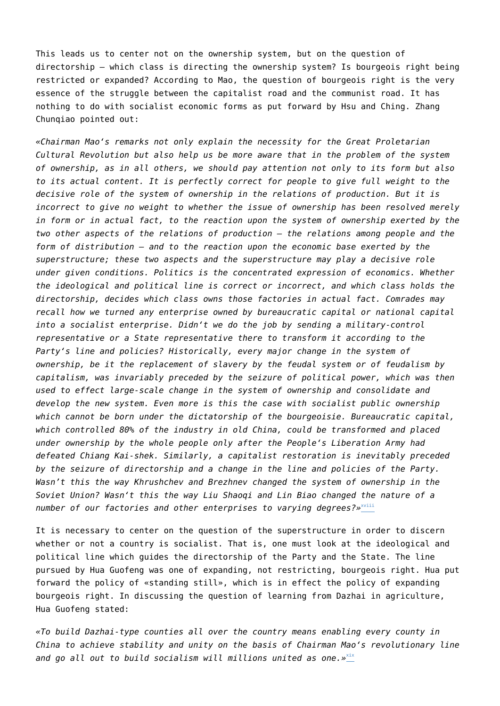This leads us to center not on the ownership system, but on the question of directorship — which class is directing the ownership system? Is bourgeois right being restricted or expanded? According to Mao, the question of bourgeois right is the very essence of the struggle between the capitalist road and the communist road. It has nothing to do with socialist economic forms as put forward by Hsu and Ching. Zhang Chunqiao pointed out:

*«Chairman Mao's remarks not only explain the necessity for the Great Proletarian Cultural Revolution but also help us be more aware that in the problem of the system of ownership, as in all others, we should pay attention not only to its form but also to its actual content. It is perfectly correct for people to give full weight to the decisive role of the system of ownership in the relations of production. But it is incorrect to give no weight to whether the issue of ownership has been resolved merely in form or in actual fact, to the reaction upon the system of ownership exerted by the two other aspects of the relations of production — the relations among people and the form of distribution — and to the reaction upon the economic base exerted by the superstructure; these two aspects and the superstructure may play a decisive role under given conditions. Politics is the concentrated expression of economics. Whether the ideological and political line is correct or incorrect, and which class holds the directorship, decides which class owns those factories in actual fact. Comrades may recall how we turned any enterprise owned by bureaucratic capital or national capital into a socialist enterprise. Didn't we do the job by sending a military-control representative or a State representative there to transform it according to the Party's line and policies? Historically, every major change in the system of ownership, be it the replacement of slavery by the feudal system or of feudalism by capitalism, was invariably preceded by the seizure of political power, which was then used to effect large-scale change in the system of ownership and consolidate and develop the new system. Even more is this the case with socialist public ownership which cannot be born under the dictatorship of the bourgeoisie. Bureaucratic capital, which controlled 80% of the industry in old China, could be transformed and placed under ownership by the whole people only after the People's Liberation Army had defeated Chiang Kai-shek. Similarly, a capitalist restoration is inevitably preceded by the seizure of directorship and a change in the line and policies of the Party. Wasn't this the way Khrushchev and Brezhnev changed the system of ownership in the Soviet Union? Wasn't this the way Liu Shaoqi and Lin Biao changed the nature of a* number of our factories and other enterprises to varying degrees?»[xviii](#page-22-4)

<span id="page-9-0"></span>It is necessary to center on the question of the superstructure in order to discern whether or not a country is socialist. That is, one must look at the ideological and political line which guides the directorship of the Party and the State. The line pursued by Hua Guofeng was one of expanding, not restricting, bourgeois right. Hua put forward the policy of «standing still», which is in effect the policy of expanding bourgeois right. In discussing the question of learning from Dazhai in agriculture, Hua Guofeng stated:

<span id="page-9-1"></span>*«To build Dazhai-type counties all over the country means enabling every county in China to achieve stability and unity on the basis of Chairman Mao's revolutionary line* and go all out to build socialism will millions united as one.»[xix](#page-22-5)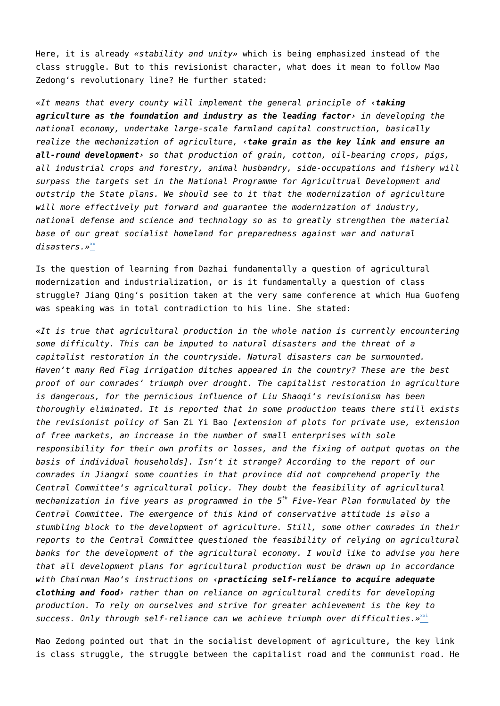Here, it is already *«stability and unity»* which is being emphasized instead of the class struggle. But to this revisionist character, what does it mean to follow Mao Zedong's revolutionary line? He further stated:

*«It means that every county will implement the general principle of ‹taking agriculture as the foundation and industry as the leading factor› in developing the national economy, undertake large-scale farmland capital construction, basically realize the mechanization of agriculture, ‹take grain as the key link and ensure an all-round development› so that production of grain, cotton, oil-bearing crops, pigs, all industrial crops and forestry, animal husbandry, side-occupations and fishery will surpass the targets set in the National Programme for Agricultrual Development and outstrip the State plans. We should see to it that the modernization of agriculture will more effectively put forward and guarantee the modernization of industry, national defense and science and technology so as to greatly strengthen the material base of our great socialist homeland for preparedness against war and natural* disasters.»<sup>[xx](#page-22-6)</sup>

<span id="page-10-0"></span>Is the question of learning from Dazhai fundamentally a question of agricultural modernization and industrialization, or is it fundamentally a question of class struggle? Jiang Qing's position taken at the very same conference at which Hua Guofeng was speaking was in total contradiction to his line. She stated:

*«It is true that agricultural production in the whole nation is currently encountering some difficulty. This can be imputed to natural disasters and the threat of a capitalist restoration in the countryside. Natural disasters can be surmounted. Haven't many Red Flag irrigation ditches appeared in the country? These are the best proof of our comrades' triumph over drought. The capitalist restoration in agriculture is dangerous, for the pernicious influence of Liu Shaoqi's revisionism has been thoroughly eliminated. It is reported that in some production teams there still exists the revisionist policy of* San Zi Yi Bao *[extension of plots for private use, extension of free markets, an increase in the number of small enterprises with sole responsibility for their own profits or losses, and the fixing of output quotas on the basis of individual households]. Isn't it strange? According to the report of our comrades in Jiangxi some counties in that province did not comprehend properly the Central Committee's agricultural policy. They doubt the feasibility of agricultural mechanization in five years as programmed in the 5th Five-Year Plan formulated by the Central Committee. The emergence of this kind of conservative attitude is also a stumbling block to the development of agriculture. Still, some other comrades in their reports to the Central Committee questioned the feasibility of relying on agricultural banks for the development of the agricultural economy. I would like to advise you here that all development plans for agricultural production must be drawn up in accordance with Chairman Mao's instructions on ‹practicing self-reliance to acquire adequate clothing and food› rather than on reliance on agricultural credits for developing production. To rely on ourselves and strive for greater achievement is the key to* success. Only through self-reliance can we achieve triumph over difficulties.»<sup>XXI</sup>

<span id="page-10-1"></span>Mao Zedong pointed out that in the socialist development of agriculture, the key link is class struggle, the struggle between the capitalist road and the communist road. He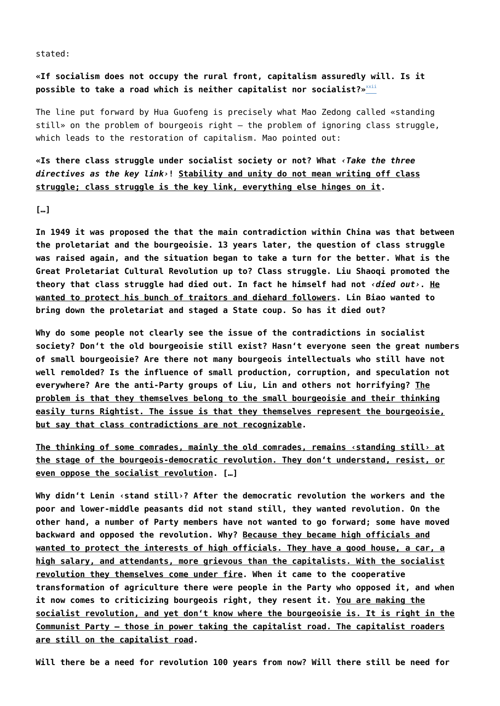stated:

<span id="page-11-0"></span>**«If socialism does not occupy the rural front, capitalism assuredly will. Is it** possible to take a road which is neither capitalist nor socialist?»<sup>[xxii](#page-22-8)</sup>

The line put forward by Hua Guofeng is precisely what Mao Zedong called «standing still» on the problem of bourgeois right — the problem of ignoring class struggle, which leads to the restoration of capitalism. Mao pointed out:

**«Is there class struggle under socialist society or not? What** *‹Take the three directives as the key link›***! Stability and unity do not mean writing off class struggle; class struggle is the key link, everything else hinges on it.**

**[…]**

**In 1949 it was proposed the that the main contradiction within China was that between the proletariat and the bourgeoisie. 13 years later, the question of class struggle was raised again, and the situation began to take a turn for the better. What is the Great Proletariat Cultural Revolution up to? Class struggle. Liu Shaoqi promoted the theory that class struggle had died out. In fact he himself had not** *‹died out›***. He wanted to protect his bunch of traitors and diehard followers. Lin Biao wanted to bring down the proletariat and staged a State coup. So has it died out?**

**Why do some people not clearly see the issue of the contradictions in socialist society? Don't the old bourgeoisie still exist? Hasn't everyone seen the great numbers of small bourgeoisie? Are there not many bourgeois intellectuals who still have not well remolded? Is the influence of small production, corruption, and speculation not everywhere? Are the anti-Party groups of Liu, Lin and others not horrifying? The problem is that they themselves belong to the small bourgeoisie and their thinking easily turns Rightist. The issue is that they themselves represent the bourgeoisie, but say that class contradictions are not recognizable.**

**The thinking of some comrades, mainly the old comrades, remains ‹standing still› at the stage of the bourgeois-democratic revolution. They don't understand, resist, or even oppose the socialist revolution. […]**

**Why didn't Lenin ‹stand still›? After the democratic revolution the workers and the poor and lower-middle peasants did not stand still, they wanted revolution. On the other hand, a number of Party members have not wanted to go forward; some have moved backward and opposed the revolution. Why? Because they became high officials and wanted to protect the interests of high officials. They have a good house, a car, a high salary, and attendants, more grievous than the capitalists. With the socialist revolution they themselves come under fire. When it came to the cooperative transformation of agriculture there were people in the Party who opposed it, and when it now comes to criticizing bourgeois right, they resent it. You are making the socialist revolution, and yet don't know where the bourgeoisie is. It is right in the Communist Party — those in power taking the capitalist road. The capitalist roaders are still on the capitalist road.**

**Will there be a need for revolution 100 years from now? Will there still be need for**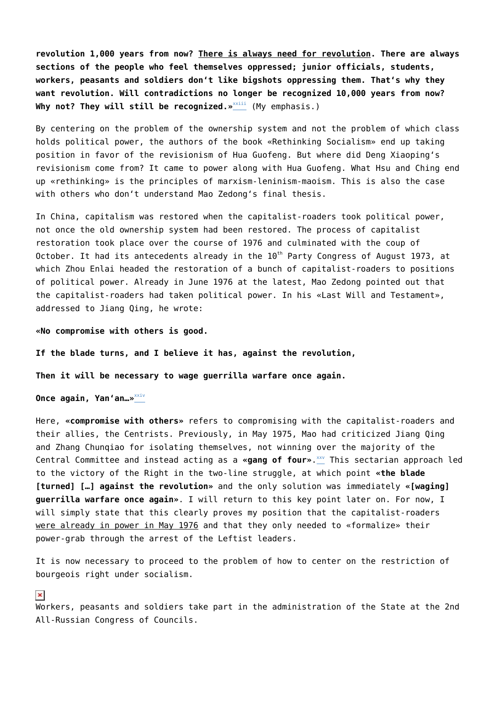**revolution 1,000 years from now? There is always need for revolution. There are always sections of the people who feel themselves oppressed; junior officials, students, workers, peasants and soldiers don't like bigshots oppressing them. That's why they want revolution. Will contradictions no longer be recognized 10,000 years from now?** Why not? They will still be recognized.»<sup>[xxiii](#page-22-9)</sup> (My emphasis.)

<span id="page-12-0"></span>By centering on the problem of the ownership system and not the problem of which class holds political power, the authors of the book «Rethinking Socialism» end up taking position in favor of the revisionism of Hua Guofeng. But where did Deng Xiaoping's revisionism come from? It came to power along with Hua Guofeng. What Hsu and Ching end up «rethinking» is the principles of marxism-leninism-maoism. This is also the case with others who don't understand Mao Zedong's final thesis.

In China, capitalism was restored when the capitalist-roaders took political power, not once the old ownership system had been restored. The process of capitalist restoration took place over the course of 1976 and culminated with the coup of October. It had its antecedents already in the  $10^{th}$  Party Congress of August 1973, at which Zhou Enlai headed the restoration of a bunch of capitalist-roaders to positions of political power. Already in June 1976 at the latest, Mao Zedong pointed out that the capitalist-roaders had taken political power. In his «Last Will and Testament», addressed to Jiang Qing, he wrote:

**«No compromise with others is good.**

**If the blade turns, and I believe it has, against the revolution,**

**Then it will be necessary to wage guerrilla warfare once again.**

<span id="page-12-1"></span>Once again, Yan'an...»<sup>[xxiv](#page-22-10)</sup>

<span id="page-12-2"></span>Here, **«compromise with others»** refers to compromising with the capitalist-roaders and their allies, the Centrists. Previously, in May 1975, Mao had criticized Jiang Qing and Zhang Chunqiao for isolating themselves, not winning over the majority of the Central Committee and instead acting as a «gang of four».<sup>[xxv](#page-22-11)</sup> This sectarian approach led to the victory of the Right in the two-line struggle, at which point **«the blade [turned] […] against the revolution»** and the only solution was immediately **«[waging] guerrilla warfare once again»**. I will return to this key point later on. For now, I will simply state that this clearly proves my position that the capitalist-roaders were already in power in May 1976 and that they only needed to «formalize» their power-grab through the arrest of the Leftist leaders.

It is now necessary to proceed to the problem of how to center on the restriction of bourgeois right under socialism.

#### $\pmb{\times}$

Workers, peasants and soldiers take part in the administration of the State at the 2nd All-Russian Congress of Councils.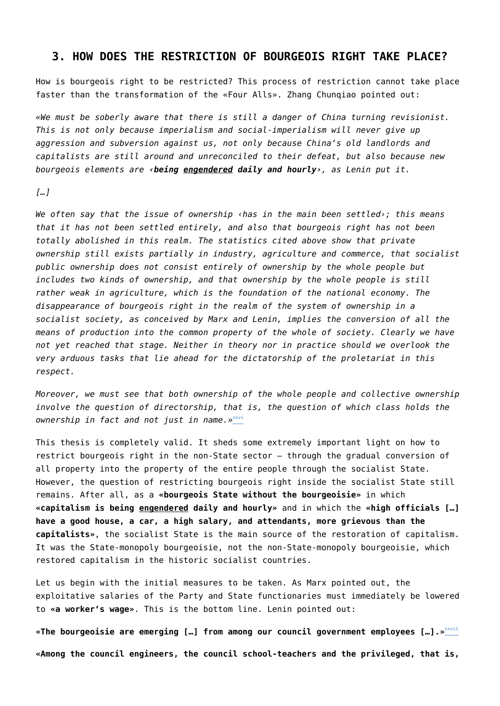## **3. HOW DOES THE RESTRICTION OF BOURGEOIS RIGHT TAKE PLACE?**

How is bourgeois right to be restricted? This process of restriction cannot take place faster than the transformation of the «Four Alls». Zhang Chunqiao pointed out:

*«We must be soberly aware that there is still a danger of China turning revisionist. This is not only because imperialism and social-imperialism will never give up aggression and subversion against us, not only because China's old landlords and capitalists are still around and unreconciled to their defeat, but also because new bourgeois elements are ‹being engendered daily and hourly›, as Lenin put it.*

### *[…]*

*We often say that the issue of ownership ‹has in the main been settled›; this means that it has not been settled entirely, and also that bourgeois right has not been totally abolished in this realm. The statistics cited above show that private ownership still exists partially in industry, agriculture and commerce, that socialist public ownership does not consist entirely of ownership by the whole people but includes two kinds of ownership, and that ownership by the whole people is still rather weak in agriculture, which is the foundation of the national economy. The disappearance of bourgeois right in the realm of the system of ownership in a socialist society, as conceived by Marx and Lenin, implies the conversion of all the means of production into the common property of the whole of society. Clearly we have not yet reached that stage. Neither in theory nor in practice should we overlook the very arduous tasks that lie ahead for the dictatorship of the proletariat in this respect.*

<span id="page-13-0"></span>*Moreover, we must see that both ownership of the whole people and collective ownership involve the question of directorship, that is, the question of which class holds the* ownership in fact and not just in name.»[xxvi](#page-22-12)

This thesis is completely valid. It sheds some extremely important light on how to restrict bourgeois right in the non-State sector — through the gradual conversion of all property into the property of the entire people through the socialist State. However, the question of restricting bourgeois right inside the socialist State still remains. After all, as a **«bourgeois State without the bourgeoisie»** in which **«capitalism is being engendered daily and hourly»** and in which the **«high officials […] have a good house, a car, a high salary, and attendants, more grievous than the capitalists»**, the socialist State is the main source of the restoration of capitalism. It was the State-monopoly bourgeoisie, not the non-State-monopoly bourgeoisie, which restored capitalism in the historic socialist countries.

Let us begin with the initial measures to be taken. As Marx pointed out, the exploitative salaries of the Party and State functionaries must immediately be lowered to **«a worker's wage»**. This is the bottom line. Lenin pointed out:

<span id="page-13-1"></span>«The bourgeoisie are emerging […] from among our council government employees […].»<sup>XXVii</sup>

**«Among the council engineers, the council school-teachers and the privileged, that is,**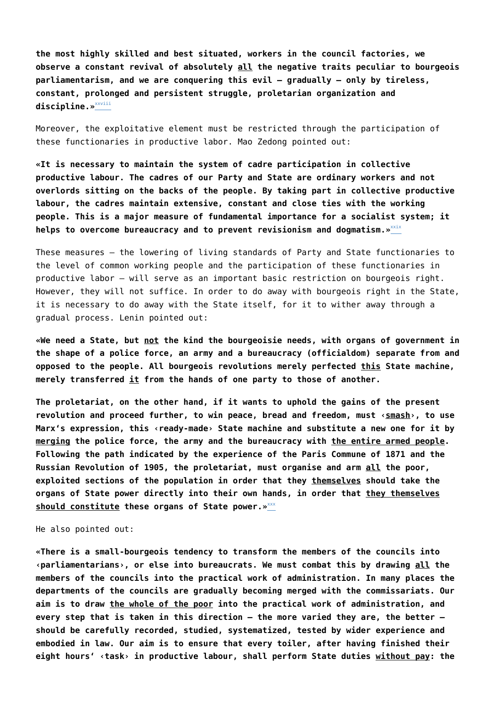<span id="page-14-0"></span>**the most highly skilled and best situated, workers in the council factories, we observe a constant revival of absolutely all the negative traits peculiar to bourgeois parliamentarism, and we are conquering this evil — gradually — only by tireless, constant, prolonged and persistent struggle, proletarian organization and** discipline.»<sup>[xxviii](#page-22-14)</sup>

Moreover, the exploitative element must be restricted through the participation of these functionaries in productive labor. Mao Zedong pointed out:

**«It is necessary to maintain the system of cadre participation in collective productive labour. The cadres of our Party and State are ordinary workers and not overlords sitting on the backs of the people. By taking part in collective productive labour, the cadres maintain extensive, constant and close ties with the working people. This is a major measure of fundamental importance for a socialist system; it helps to overcome bureaucracy and to prevent revisionism and dogmatism.**»<sup>[xxix](#page-23-0)</sup>

<span id="page-14-1"></span>These measures — the lowering of living standards of Party and State functionaries to the level of common working people and the participation of these functionaries in productive labor — will serve as an important basic restriction on bourgeois right. However, they will not suffice. In order to do away with bourgeois right in the State, it is necessary to do away with the State itself, for it to wither away through a gradual process. Lenin pointed out:

**«We need a State, but not the kind the bourgeoisie needs, with organs of government in the shape of a police force, an army and a bureaucracy (officialdom) separate from and opposed to the people. All bourgeois revolutions merely perfected this State machine, merely transferred it from the hands of one party to those of another.**

**The proletariat, on the other hand, if it wants to uphold the gains of the present revolution and proceed further, to win peace, bread and freedom, must ‹smash›, to use Marx's expression, this ‹ready-made› State machine and substitute a new one for it by merging the police force, the army and the bureaucracy with the entire armed people. Following the path indicated by the experience of the Paris Commune of 1871 and the Russian Revolution of 1905, the proletariat, must organise and arm all the poor, exploited sections of the population in order that they themselves should take the organs of State power directly into their own hands, in order that they themselves** should constitute these organs of State power.»<sup>[xxx](#page-23-1)</sup>

<span id="page-14-2"></span>He also pointed out:

**«There is a small-bourgeois tendency to transform the members of the councils into ‹parliamentarians›, or else into bureaucrats. We must combat this by drawing all the members of the councils into the practical work of administration. In many places the departments of the councils are gradually becoming merged with the commissariats. Our aim is to draw the whole of the poor into the practical work of administration, and every step that is taken in this direction — the more varied they are, the better should be carefully recorded, studied, systematized, tested by wider experience and embodied in law. Our aim is to ensure that every toiler, after having finished their eight hours' ‹task› in productive labour, shall perform State duties without pay: the**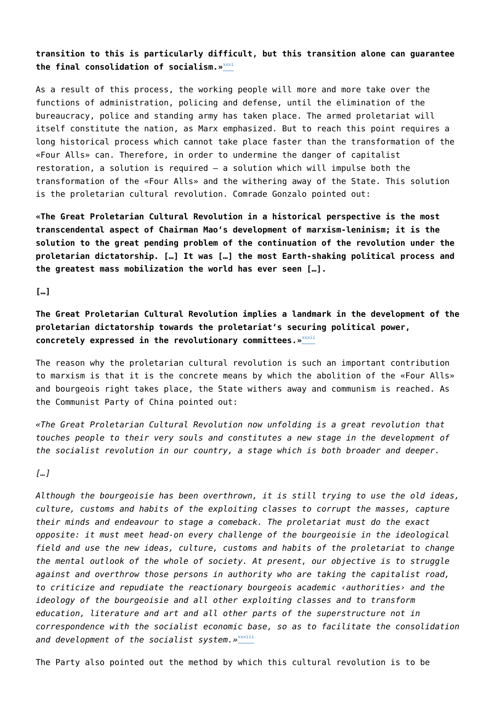### <span id="page-15-0"></span>**transition to this is particularly difficult, but this transition alone can guarantee** the final consolidation of socialism.»<sup>[xxxi](#page-23-2)</sup>

As a result of this process, the working people will more and more take over the functions of administration, policing and defense, until the elimination of the bureaucracy, police and standing army has taken place. The armed proletariat will itself constitute the nation, as Marx emphasized. But to reach this point requires a long historical process which cannot take place faster than the transformation of the «Four Alls» can. Therefore, in order to undermine the danger of capitalist restoration, a solution is required — a solution which will impulse both the transformation of the «Four Alls» and the withering away of the State. This solution is the proletarian cultural revolution. Comrade Gonzalo pointed out:

**«The Great Proletarian Cultural Revolution in a historical perspective is the most transcendental aspect of Chairman Mao's development of marxism-leninism; it is the solution to the great pending problem of the continuation of the revolution under the proletarian dictatorship. […] It was […] the most Earth-shaking political process and the greatest mass mobilization the world has ever seen […].**

**[…]**

<span id="page-15-1"></span>**The Great Proletarian Cultural Revolution implies a landmark in the development of the proletarian dictatorship towards the proletariat's securing political power,** concretely expressed in the revolutionary committees.»<sup>[xxxii](#page-23-3)</sup>

The reason why the proletarian cultural revolution is such an important contribution to marxism is that it is the concrete means by which the abolition of the «Four Alls» and bourgeois right takes place, the State withers away and communism is reached. As the Communist Party of China pointed out:

*«The Great Proletarian Cultural Revolution now unfolding is a great revolution that touches people to their very souls and constitutes a new stage in the development of the socialist revolution in our country, a stage which is both broader and deeper.*

*[…]*

*Although the bourgeoisie has been overthrown, it is still trying to use the old ideas, culture, customs and habits of the exploiting classes to corrupt the masses, capture their minds and endeavour to stage a comeback. The proletariat must do the exact opposite: it must meet head-on every challenge of the bourgeoisie in the ideological field and use the new ideas, culture, customs and habits of the proletariat to change the mental outlook of the whole of society. At present, our objective is to struggle against and overthrow those persons in authority who are taking the capitalist road, to criticize and repudiate the reactionary bourgeois academic ‹authorities› and the ideology of the bourgeoisie and all other exploiting classes and to transform education, literature and art and all other parts of the superstructure not in correspondence with the socialist economic base, so as to facilitate the consolidation* and development of the socialist system.»[xxxiii](#page-23-4)

<span id="page-15-2"></span>The Party also pointed out the method by which this cultural revolution is to be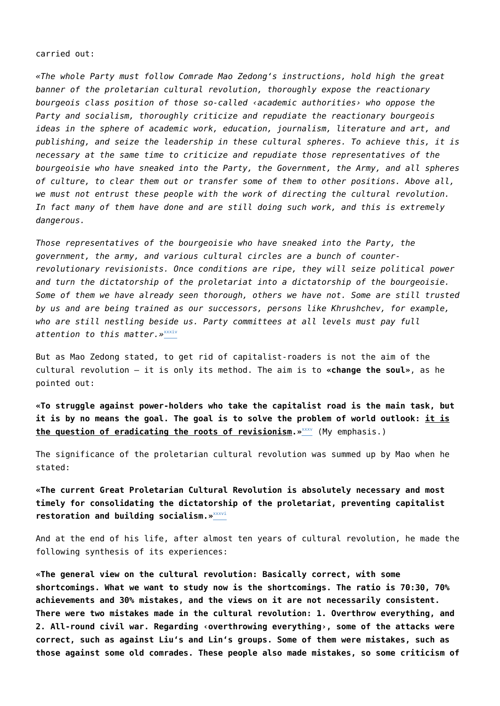#### carried out:

*«The whole Party must follow Comrade Mao Zedong's instructions, hold high the great banner of the proletarian cultural revolution, thoroughly expose the reactionary bourgeois class position of those so-called ‹academic authorities› who oppose the Party and socialism, thoroughly criticize and repudiate the reactionary bourgeois ideas in the sphere of academic work, education, journalism, literature and art, and publishing, and seize the leadership in these cultural spheres. To achieve this, it is necessary at the same time to criticize and repudiate those representatives of the bourgeoisie who have sneaked into the Party, the Government, the Army, and all spheres of culture, to clear them out or transfer some of them to other positions. Above all, we must not entrust these people with the work of directing the cultural revolution. In fact many of them have done and are still doing such work, and this is extremely dangerous.*

*Those representatives of the bourgeoisie who have sneaked into the Party, the government, the army, and various cultural circles are a bunch of counterrevolutionary revisionists. Once conditions are ripe, they will seize political power and turn the dictatorship of the proletariat into a dictatorship of the bourgeoisie. Some of them we have already seen thorough, others we have not. Some are still trusted by us and are being trained as our successors, persons like Khrushchev, for example, who are still nestling beside us. Party committees at all levels must pay full* attention to this matter.» XXXXiv

<span id="page-16-0"></span>But as Mao Zedong stated, to get rid of capitalist-roaders is not the aim of the cultural revolution — it is only its method. The aim is to **«change the soul»**, as he pointed out:

<span id="page-16-1"></span>**«To struggle against power-holders who take the capitalist road is the main task, but it is by no means the goal. The goal is to solve the problem of world outlook: it is the question of eradicating the roots of revisionism.**» XXXXV (My emphasis.)

The significance of the proletarian cultural revolution was summed up by Mao when he stated:

<span id="page-16-2"></span>**«The current Great Proletarian Cultural Revolution is absolutely necessary and most timely for consolidating the dictatorship of the proletariat, preventing capitalist** restoration and building socialism.»**[xxxvi](#page-23-7)** 

And at the end of his life, after almost ten years of cultural revolution, he made the following synthesis of its experiences:

**«The general view on the cultural revolution: Basically correct, with some shortcomings. What we want to study now is the shortcomings. The ratio is 70:30, 70% achievements and 30% mistakes, and the views on it are not necessarily consistent. There were two mistakes made in the cultural revolution: 1. Overthrow everything, and 2. All-round civil war. Regarding ‹overthrowing everything›, some of the attacks were correct, such as against Liu's and Lin's groups. Some of them were mistakes, such as those against some old comrades. These people also made mistakes, so some criticism of**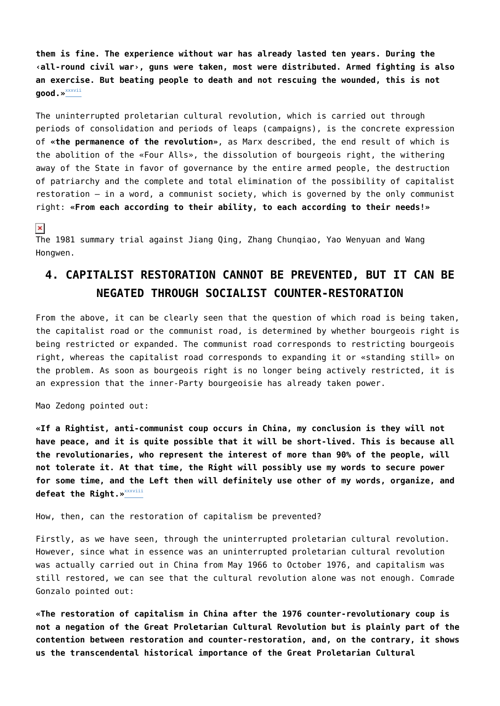**them is fine. The experience without war has already lasted ten years. During the ‹all-round civil war›, guns were taken, most were distributed. Armed fighting is also an exercise. But beating people to death and not rescuing the wounded, this is not** good.»**XXXVii** 

<span id="page-17-0"></span>The uninterrupted proletarian cultural revolution, which is carried out through periods of consolidation and periods of leaps (campaigns), is the concrete expression of **«the permanence of the revolution»**, as Marx described, the end result of which is the abolition of the «Four Alls», the dissolution of bourgeois right, the withering away of the State in favor of governance by the entire armed people, the destruction of patriarchy and the complete and total elimination of the possibility of capitalist restoration — in a word, a communist society, which is governed by the only communist right: **«From each according to their ability, to each according to their needs!»**

 $\pmb{\times}$ 

The 1981 summary trial against Jiang Qing, Zhang Chunqiao, Yao Wenyuan and Wang Hongwen.

# **4. CAPITALIST RESTORATION CANNOT BE PREVENTED, BUT IT CAN BE NEGATED THROUGH SOCIALIST COUNTER-RESTORATION**

From the above, it can be clearly seen that the question of which road is being taken, the capitalist road or the communist road, is determined by whether bourgeois right is being restricted or expanded. The communist road corresponds to restricting bourgeois right, whereas the capitalist road corresponds to expanding it or «standing still» on the problem. As soon as bourgeois right is no longer being actively restricted, it is an expression that the inner-Party bourgeoisie has already taken power.

Mao Zedong pointed out:

**«If a Rightist, anti-communist coup occurs in China, my conclusion is they will not have peace, and it is quite possible that it will be short-lived. This is because all the revolutionaries, who represent the interest of more than 90% of the people, will not tolerate it. At that time, the Right will possibly use my words to secure power for some time, and the Left then will definitely use other of my words, organize, and** defeat the Right.»<sup>XXXViii</sup>

<span id="page-17-1"></span>How, then, can the restoration of capitalism be prevented?

Firstly, as we have seen, through the uninterrupted proletarian cultural revolution. However, since what in essence was an uninterrupted proletarian cultural revolution was actually carried out in China from May 1966 to October 1976, and capitalism was still restored, we can see that the cultural revolution alone was not enough. Comrade Gonzalo pointed out:

<span id="page-17-2"></span>**«The restoration of capitalism in China after the 1976 counter-revolutionary coup is not a negation of the Great Proletarian Cultural Revolution but is plainly part of the contention between restoration and counter-restoration, and, on the contrary, it shows us the transcendental historical importance of the Great Proletarian Cultural**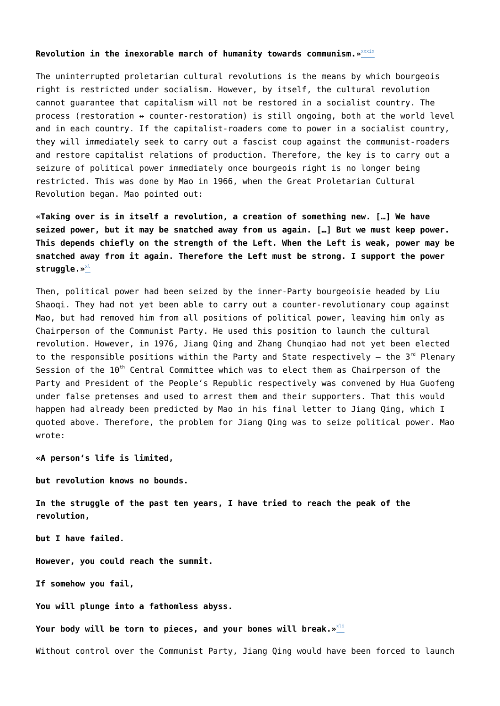#### **Revolution in the inexorable march of humanity towards communism.»**<sup>[xxxix](#page-23-10)</sup>

The uninterrupted proletarian cultural revolutions is the means by which bourgeois right is restricted under socialism. However, by itself, the cultural revolution cannot guarantee that capitalism will not be restored in a socialist country. The process (restoration ↔ counter-restoration) is still ongoing, both at the world level and in each country. If the capitalist-roaders come to power in a socialist country, they will immediately seek to carry out a fascist coup against the communist-roaders and restore capitalist relations of production. Therefore, the key is to carry out a seizure of political power immediately once bourgeois right is no longer being restricted. This was done by Mao in 1966, when the Great Proletarian Cultural Revolution began. Mao pointed out:

**«Taking over is in itself a revolution, a creation of something new. […] We have seized power, but it may be snatched away from us again. […] But we must keep power. This depends chiefly on the strength of the Left. When the Left is weak, power may be snatched away from it again. Therefore the Left must be strong. I support the power** struggle.»<sup>[xl](#page-23-11)</sup>

<span id="page-18-0"></span>Then, political power had been seized by the inner-Party bourgeoisie headed by Liu Shaoqi. They had not yet been able to carry out a counter-revolutionary coup against Mao, but had removed him from all positions of political power, leaving him only as Chairperson of the Communist Party. He used this position to launch the cultural revolution. However, in 1976, Jiang Qing and Zhang Chunqiao had not yet been elected to the responsible positions within the Party and State respectively  $-$  the 3<sup>rd</sup> Plenary Session of the 10<sup>th</sup> Central Committee which was to elect them as Chairperson of the Party and President of the People's Republic respectively was convened by Hua Guofeng under false pretenses and used to arrest them and their supporters. That this would happen had already been predicted by Mao in his final letter to Jiang Qing, which I quoted above. Therefore, the problem for Jiang Qing was to seize political power. Mao wrote:

**«A person's life is limited,**

**but revolution knows no bounds.**

**In the struggle of the past ten years, I have tried to reach the peak of the revolution,**

**but I have failed.**

**However, you could reach the summit.**

**If somehow you fail,**

**You will plunge into a fathomless abyss.**

<span id="page-18-1"></span>Your body will be torn to pieces, and your bones will break.»<sup>[xli](#page-23-12)</sup>

Without control over the Communist Party, Jiang Qing would have been forced to launch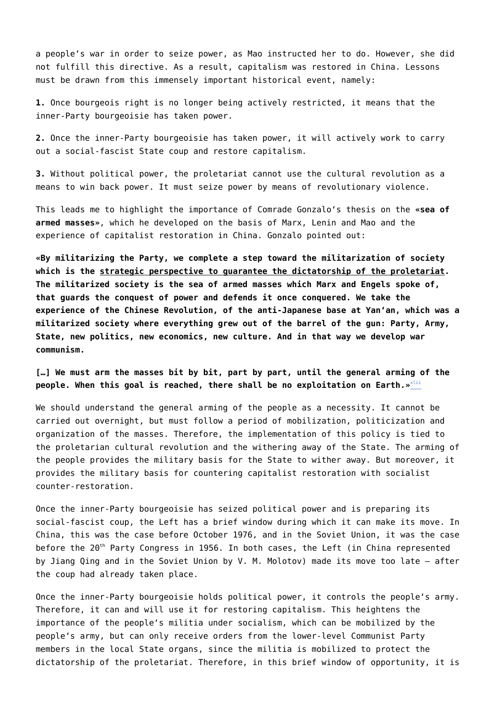a people's war in order to seize power, as Mao instructed her to do. However, she did not fulfill this directive. As a result, capitalism was restored in China. Lessons must be drawn from this immensely important historical event, namely:

**1.** Once bourgeois right is no longer being actively restricted, it means that the inner-Party bourgeoisie has taken power.

**2.** Once the inner-Party bourgeoisie has taken power, it will actively work to carry out a social-fascist State coup and restore capitalism.

**3.** Without political power, the proletariat cannot use the cultural revolution as a means to win back power. It must seize power by means of revolutionary violence.

This leads me to highlight the importance of Comrade Gonzalo's thesis on the **«sea of armed masses»**, which he developed on the basis of Marx, Lenin and Mao and the experience of capitalist restoration in China. Gonzalo pointed out:

**«By militarizing the Party, we complete a step toward the militarization of society which is the strategic perspective to guarantee the dictatorship of the proletariat. The militarized society is the sea of armed masses which Marx and Engels spoke of, that guards the conquest of power and defends it once conquered. We take the experience of the Chinese Revolution, of the anti-Japanese base at Yan'an, which was a militarized society where everything grew out of the barrel of the gun: Party, Army, State, new politics, new economics, new culture. And in that way we develop war communism.**

<span id="page-19-0"></span>**[…] We must arm the masses bit by bit, part by part, until the general arming of the people.** When this goal is reached, there shall be no exploitation on Earth.»

We should understand the general arming of the people as a necessity. It cannot be carried out overnight, but must follow a period of mobilization, politicization and organization of the masses. Therefore, the implementation of this policy is tied to the proletarian cultural revolution and the withering away of the State. The arming of the people provides the military basis for the State to wither away. But moreover, it provides the military basis for countering capitalist restoration with socialist counter-restoration.

Once the inner-Party bourgeoisie has seized political power and is preparing its social-fascist coup, the Left has a brief window during which it can make its move. In China, this was the case before October 1976, and in the Soviet Union, it was the case before the 20<sup>th</sup> Party Congress in 1956. In both cases, the Left (in China represented by Jiang Qing and in the Soviet Union by V. M. Molotov) made its move too late — after the coup had already taken place.

Once the inner-Party bourgeoisie holds political power, it controls the people's army. Therefore, it can and will use it for restoring capitalism. This heightens the importance of the people's militia under socialism, which can be mobilized by the people's army, but can only receive orders from the lower-level Communist Party members in the local State organs, since the militia is mobilized to protect the dictatorship of the proletariat. Therefore, in this brief window of opportunity, it is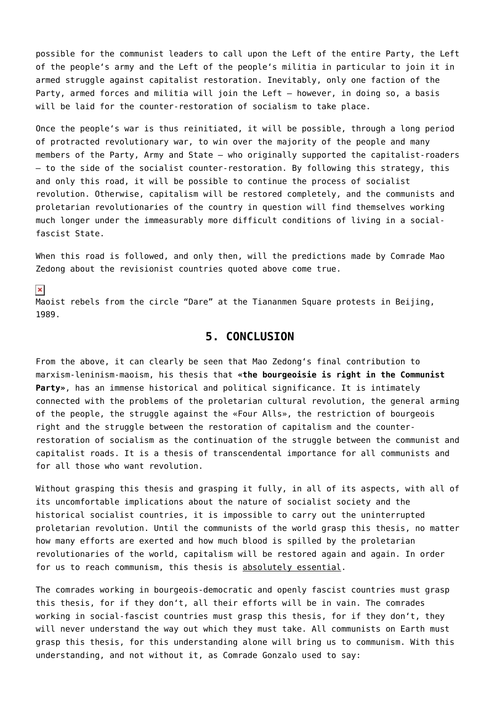possible for the communist leaders to call upon the Left of the entire Party, the Left of the people's army and the Left of the people's militia in particular to join it in armed struggle against capitalist restoration. Inevitably, only one faction of the Party, armed forces and militia will join the Left - however, in doing so, a basis will be laid for the counter-restoration of socialism to take place.

Once the people's war is thus reinitiated, it will be possible, through a long period of protracted revolutionary war, to win over the majority of the people and many members of the Party, Army and State — who originally supported the capitalist-roaders — to the side of the socialist counter-restoration. By following this strategy, this and only this road, it will be possible to continue the process of socialist revolution. Otherwise, capitalism will be restored completely, and the communists and proletarian revolutionaries of the country in question will find themselves working much longer under the immeasurably more difficult conditions of living in a socialfascist State.

When this road is followed, and only then, will the predictions made by Comrade Mao Zedong about the revisionist countries quoted above come true.

Maoist rebels from the circle "Dare" at the Tiananmen Square protests in Beijing, 1989.

 $\pmb{\times}$ 

# **5. CONCLUSION**

From the above, it can clearly be seen that Mao Zedong's final contribution to marxism-leninism-maoism, his thesis that **«the bourgeoisie is right in the Communist Party»**, has an immense historical and political significance. It is intimately connected with the problems of the proletarian cultural revolution, the general arming of the people, the struggle against the «Four Alls», the restriction of bourgeois right and the struggle between the restoration of capitalism and the counterrestoration of socialism as the continuation of the struggle between the communist and capitalist roads. It is a thesis of transcendental importance for all communists and for all those who want revolution.

Without grasping this thesis and grasping it fully, in all of its aspects, with all of its uncomfortable implications about the nature of socialist society and the historical socialist countries, it is impossible to carry out the uninterrupted proletarian revolution. Until the communists of the world grasp this thesis, no matter how many efforts are exerted and how much blood is spilled by the proletarian revolutionaries of the world, capitalism will be restored again and again. In order for us to reach communism, this thesis is absolutely essential.

The comrades working in bourgeois-democratic and openly fascist countries must grasp this thesis, for if they don't, all their efforts will be in vain. The comrades working in social-fascist countries must grasp this thesis, for if they don't, they will never understand the way out which they must take. All communists on Earth must grasp this thesis, for this understanding alone will bring us to communism. With this understanding, and not without it, as Comrade Gonzalo used to say: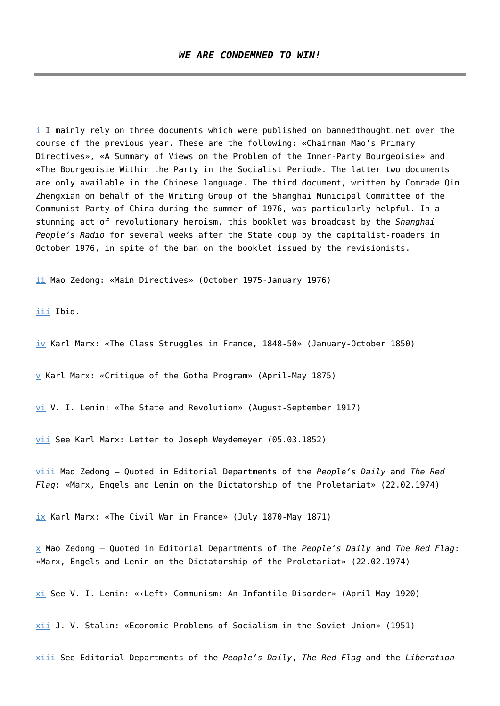<span id="page-21-0"></span> $i$  I mainly rely on three documents which were published on bannedthought.net over the course of the previous year. These are the following: «Chairman Mao's Primary Directives», «A Summary of Views on the Problem of the Inner-Party Bourgeoisie» and «The Bourgeoisie Within the Party in the Socialist Period». The latter two documents are only available in the Chinese language. The third document, written by Comrade Qin Zhengxian on behalf of the Writing Group of the Shanghai Municipal Committee of the Communist Party of China during the summer of 1976, was particularly helpful. In a stunning act of revolutionary heroism, this booklet was broadcast by the *Shanghai People's Radio* for several weeks after the State coup by the capitalist-roaders in October 1976, in spite of the ban on the booklet issued by the revisionists.

<span id="page-21-1"></span>[ii](#page-0-1) Mao Zedong: «Main Directives» (October 1975-January 1976)

<span id="page-21-2"></span>[iii](#page-1-0) Ibid.

<span id="page-21-3"></span>[iv](#page-1-1) Karl Marx: «The Class Struggles in France, 1848-50» (January-October 1850)

<span id="page-21-4"></span> $\nu$  Karl Marx: «Critique of the Gotha Program» (April-May 1875)

<span id="page-21-5"></span>[vi](#page-4-0) V. I. Lenin: «The State and Revolution» (August-September 1917)

<span id="page-21-6"></span>[vii](#page-4-1) See Karl Marx: Letter to Joseph Weydemeyer (05.03.1852)

<span id="page-21-7"></span>[viii](#page-5-0) Mao Zedong — Quoted in Editorial Departments of the *People's Daily* and *The Red Flag*: «Marx, Engels and Lenin on the Dictatorship of the Proletariat» (22.02.1974)

<span id="page-21-8"></span>[ix](#page-5-1) Karl Marx: «The Civil War in France» (July 1870-May 1871)

<span id="page-21-9"></span>[x](#page-5-2) Mao Zedong — Quoted in Editorial Departments of the *People's Daily* and *The Red Flag*: «Marx, Engels and Lenin on the Dictatorship of the Proletariat» (22.02.1974)

<span id="page-21-10"></span>[xi](#page-5-3) See V. I. Lenin: «‹Left›-Communism: An Infantile Disorder» (April-May 1920)

<span id="page-21-11"></span>[xii](#page-6-0) J. V. Stalin: «Economic Problems of Socialism in the Soviet Union» (1951)

<span id="page-21-12"></span>[xiii](#page-7-0) See Editorial Departments of the *People's Daily*, *The Red Flag* and the *Liberation*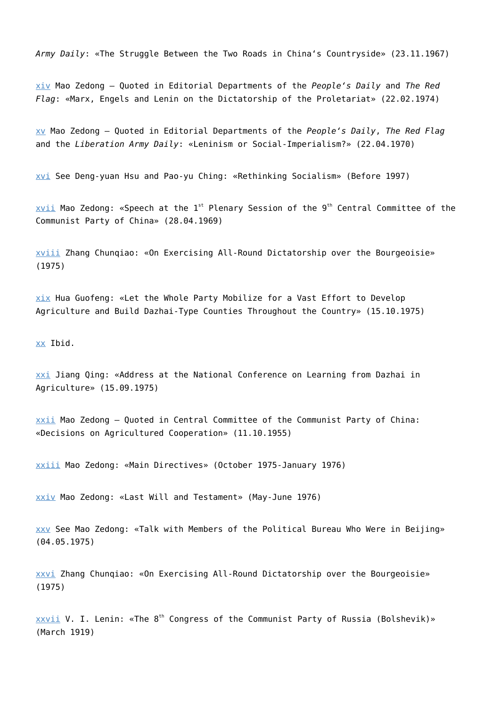*Army Daily*: «The Struggle Between the Two Roads in China's Countryside» (23.11.1967)

<span id="page-22-0"></span>[xiv](#page-8-0) Mao Zedong — Quoted in Editorial Departments of the *People's Daily* and *The Red Flag*: «Marx, Engels and Lenin on the Dictatorship of the Proletariat» (22.02.1974)

<span id="page-22-1"></span>[xv](#page-8-1) Mao Zedong — Quoted in Editorial Departments of the *People's Daily*, *The Red Flag* and the *Liberation Army Daily*: «Leninism or Social-Imperialism?» (22.04.1970)

<span id="page-22-2"></span> $xvi$  See Deng-yuan Hsu and Pao-yu Ching: «Rethinking Socialism» (Before 1997)

<span id="page-22-3"></span> $x$ vii Mao Zedong: «Speech at the 1<sup>st</sup> Plenary Session of the 9<sup>th</sup> Central Committee of the Communist Party of China» (28.04.1969)

<span id="page-22-4"></span>[xviii](#page-9-0) Zhang Chunqiao: «On Exercising All-Round Dictatorship over the Bourgeoisie» (1975)

<span id="page-22-5"></span> $x\text{fix}$  Hua Guofeng: «Let the Whole Party Mobilize for a Vast Effort to Develop Agriculture and Build Dazhai-Type Counties Throughout the Country» (15.10.1975)

<span id="page-22-6"></span>[xx](#page-10-0) Ibid.

<span id="page-22-7"></span>[xxi](#page-10-1) Jiang Qing: «Address at the National Conference on Learning from Dazhai in Agriculture» (15.09.1975)

<span id="page-22-8"></span> $xxi$ i Mao Zedong – Quoted in Central Committee of the Communist Party of China: «Decisions on Agricultured Cooperation» (11.10.1955)

<span id="page-22-9"></span>[xxiii](#page-12-0) Mao Zedong: «Main Directives» (October 1975-January 1976)

<span id="page-22-10"></span>[xxiv](#page-12-1) Mao Zedong: «Last Will and Testament» (May-June 1976)

<span id="page-22-11"></span>[xxv](#page-12-2) See Mao Zedong: «Talk with Members of the Political Bureau Who Were in Beijing» (04.05.1975)

<span id="page-22-12"></span>[xxvi](#page-13-0) Zhang Chunqiao: «On Exercising All-Round Dictatorship over the Bourgeoisie» (1975)

<span id="page-22-14"></span><span id="page-22-13"></span> $\overline{XXV11}$  V. I. Lenin: «The 8<sup>th</sup> Congress of the Communist Party of Russia (Bolshevik)» (March 1919)